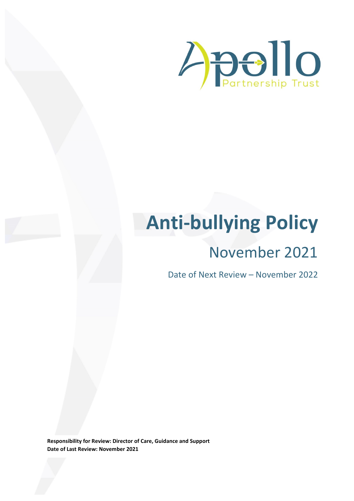

# **Anti-bullying Policy**

# November 2021

Date of Next Review – November 2022

**Responsibility for Review: Director of Care, Guidance and Support Date of Last Review: November 2021**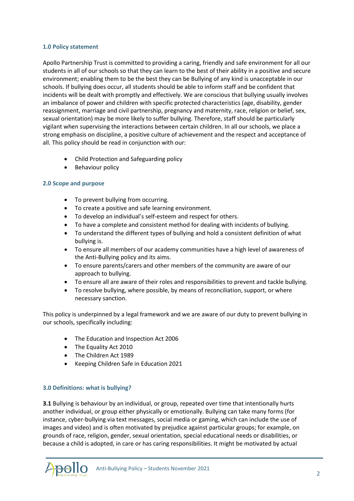# **1.0 Policy statement**

Apollo Partnership Trust is committed to providing a caring, friendly and safe environment for all our students in all of our schools so that they can learn to the best of their ability in a positive and secure environment; enabling them to be the best they can be Bullying of any kind is unacceptable in our schools. If bullying does occur, all students should be able to inform staff and be confident that incidents will be dealt with promptly and effectively. We are conscious that bullying usually involves an imbalance of power and children with specific protected characteristics (age, disability, gender reassignment, marriage and civil partnership, pregnancy and maternity, race, religion or belief, sex, sexual orientation) may be more likely to suffer bullying. Therefore, staff should be particularly vigilant when supervising the interactions between certain children. In all our schools, we place a strong emphasis on discipline, a positive culture of achievement and the respect and acceptance of all. This policy should be read in conjunction with our:

- Child Protection and Safeguarding policy
- Behaviour policy

# **2.0 Scope and purpose**

- To prevent bullying from occurring.
- To create a positive and safe learning environment.
- To develop an individual's self-esteem and respect for others.
- To have a complete and consistent method for dealing with incidents of bullying.
- To understand the different types of bullying and hold a consistent definition of what bullying is.
- To ensure all members of our academy communities have a high level of awareness of the Anti-Bullying policy and its aims.
- To ensure parents/carers and other members of the community are aware of our approach to bullying.
- To ensure all are aware of their roles and responsibilities to prevent and tackle bullying.
- To resolve bullying, where possible, by means of reconciliation, support, or where necessary sanction.

This policy is underpinned by a legal framework and we are aware of our duty to prevent bullying in our schools, specifically including:

- The Education and Inspection Act 2006
- The Equality Act 2010
- The Children Act 1989
- Keeping Children Safe in Education 2021

# **3.0 Definitions: what is bullying?**

**3.1** Bullying is behaviour by an individual, or group, repeated over time that intentionally hurts another individual, or group either physically or emotionally. Bullying can take many forms (for instance, cyber-bullying via text messages, social media or gaming, which can include the use of images and video) and is often motivated by prejudice against particular groups; for example, on grounds of race, religion, gender, sexual orientation, special educational needs or disabilities, or because a child is adopted, in care or has caring responsibilities. It might be motivated by actual

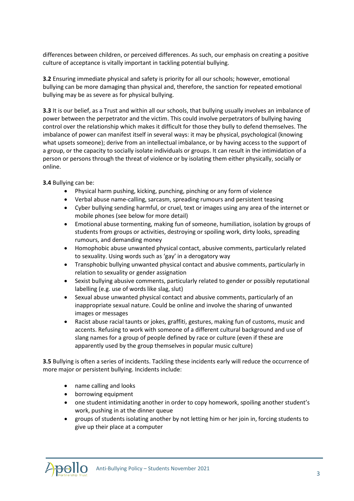differences between children, or perceived differences. As such, our emphasis on creating a positive culture of acceptance is vitally important in tackling potential bullying.

**3.2** Ensuring immediate physical and safety is priority for all our schools; however, emotional bullying can be more damaging than physical and, therefore, the sanction for repeated emotional bullying may be as severe as for physical bullying.

**3.3** It is our belief, as a Trust and within all our schools, that bullying usually involves an imbalance of power between the perpetrator and the victim. This could involve perpetrators of bullying having control over the relationship which makes it difficult for those they bully to defend themselves. The imbalance of power can manifest itself in several ways: it may be physical, psychological (knowing what upsets someone); derive from an intellectual imbalance, or by having access to the support of a group, or the capacity to socially isolate individuals or groups. It can result in the intimidation of a person or persons through the threat of violence or by isolating them either physically, socially or online.

**3.4** Bullying can be:

- Physical harm pushing, kicking, punching, pinching or any form of violence
- Verbal abuse name-calling, sarcasm, spreading rumours and persistent teasing
- Cyber bullying sending harmful, or cruel, text or images using any area of the internet or mobile phones (see below for more detail)
- Emotional abuse tormenting, making fun of someone, humiliation, isolation by groups of students from groups or activities, destroying or spoiling work, dirty looks, spreading rumours, and demanding money
- Homophobic abuse unwanted physical contact, abusive comments, particularly related to sexuality. Using words such as 'gay' in a derogatory way
- Transphobic bullying unwanted physical contact and abusive comments, particularly in relation to sexuality or gender assignation
- Sexist bullying abusive comments, particularly related to gender or possibly reputational labelling (e.g. use of words like slag, slut)
- Sexual abuse unwanted physical contact and abusive comments, particularly of an inappropriate sexual nature. Could be online and involve the sharing of unwanted images or messages
- Racist abuse racial taunts or jokes, graffiti, gestures, making fun of customs, music and accents. Refusing to work with someone of a different cultural background and use of slang names for a group of people defined by race or culture (even if these are apparently used by the group themselves in popular music culture)

**3.5** Bullying is often a series of incidents. Tackling these incidents early will reduce the occurrence of more major or persistent bullying. Incidents include:

- name calling and looks
- borrowing equipment
- one student intimidating another in order to copy homework, spoiling another student's work, pushing in at the dinner queue
- groups of students isolating another by not letting him or her join in, forcing students to give up their place at a computer

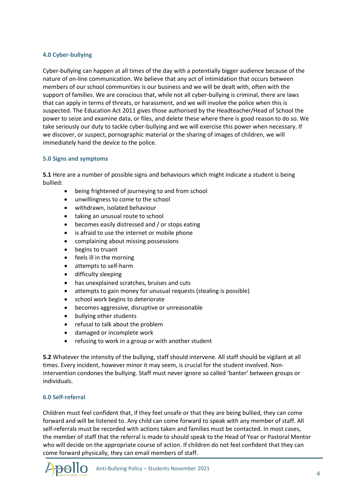# **4.0 Cyber-bullying**

Cyber-bullying can happen at all times of the day with a potentially bigger audience because of the nature of on-line communication. We believe that any act of intimidation that occurs between members of our school communities is our business and we will be dealt with, often with the support of families. We are conscious that, while not all cyber-bullying is criminal, there are laws that can apply in terms of threats, or harassment, and we will involve the police when this is suspected. The Education Act 2011 gives those authorised by the Headteacher/Head of School the power to seize and examine data, or files, and delete these where there is good reason to do so. We take seriously our duty to tackle cyber-bullying and we will exercise this power when necessary. If we discover, or suspect, pornographic material or the sharing of images of children, we will immediately hand the device to the police.

#### **5.0 Signs and symptoms**

**5.1** Here are a number of possible signs and behaviours which might indicate a student is being bullied:

- being frightened of journeying to and from school
- unwillingness to come to the school
- withdrawn, isolated behaviour
- taking an unusual route to school
- becomes easily distressed and / or stops eating
- is afraid to use the internet or mobile phone
- complaining about missing possessions
- begins to truant
- feels ill in the morning
- attempts to self-harm
- difficulty sleeping
- has unexplained scratches, bruises and cuts
- attempts to gain money for unusual requests (stealing is possible)
- school work begins to deteriorate
- becomes aggressive, disruptive or unreasonable
- bullying other students
- refusal to talk about the problem
- damaged or incomplete work
- refusing to work in a group or with another student

**5.2** Whatever the intensity of the bullying, staff should intervene. All staff should be vigilant at all times. Every incident, however minor it may seem, is crucial for the student involved. Nonintervention condones the bullying. Staff must never ignore so called 'banter' between groups or individuals.

#### **6.0 Self-referral**

Children must feel confident that, if they feel unsafe or that they are being bullied, they can come forward and will be listened to. Any child can come forward to speak with any member of staff. All self-referrals must be recorded with actions taken and families must be contacted. In most cases, the member of staff that the referral is made to should speak to the Head of Year or Pastoral Mentor who will decide on the appropriate course of action. If children do not feel confident that they can come forward physically, they can email members of staff.

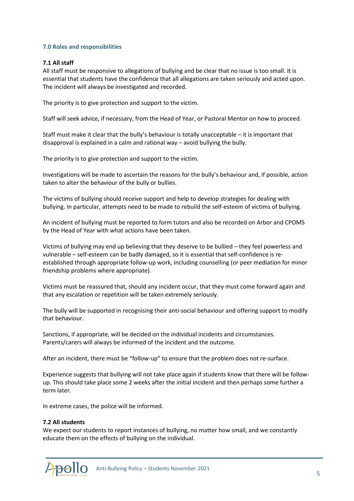# **7.0 Roles and responsibilities**

# **7.1 All staff**

All staff must be responsive to allegations of bullying and be clear that no issue is too small. It is essential that students have the confidence that all allegations are taken seriously and acted upon. The incident will always be investigated and recorded.

The priority is to give protection and support to the victim.

Staff will seek advice, if necessary, from the Head of Year, or Pastoral Mentor on how to proceed.

Staff must make it clear that the bully's behaviour is totally unacceptable – it is important that disapproval is explained in a calm and rational way – avoid bullying the bully.

The priority is to give protection and support to the victim.

Investigations will be made to ascertain the reasons for the bully's behaviour and, if possible, action taken to alter the behaviour of the bully or bullies.

The victims of bullying should receive support and help to develop strategies for dealing with bullying. In particular, attempts need to be made to rebuild the self-esteem of victims of bullying.

An incident of bullying must be reported to form tutors and also be recorded on Arbor and CPOMS by the Head of Year with what actions have been taken.

Victims of bullying may end up believing that they deserve to be bullied – they feel powerless and vulnerable – self-esteem can be badly damaged, so it is essential that self-confidence is reestablished through appropriate follow-up work, including counselling (or peer mediation for minor friendship problems where appropriate).

Victims must be reassured that, should any incident occur, that they must come forward again and that any escalation or repetition will be taken extremely seriously.

The bully will be supported in recognising their anti-social behaviour and offering support to modify that behaviour.

Sanctions, if appropriate, will be decided on the individual incidents and circumstances. Parents/carers will always be informed of the incident and the outcome.

After an incident, there must be "follow-up" to ensure that the problem does not re-surface.

Experience suggests that bullying will not take place again if students know that there will be followup. This should take place some 2 weeks after the initial incident and then perhaps some further a term later.

In extreme cases, the police will be informed.

#### **7.2 All students**

We expect our students to report instances of bullying, no matter how small, and we constantly educate them on the effects of bullying on the individual.

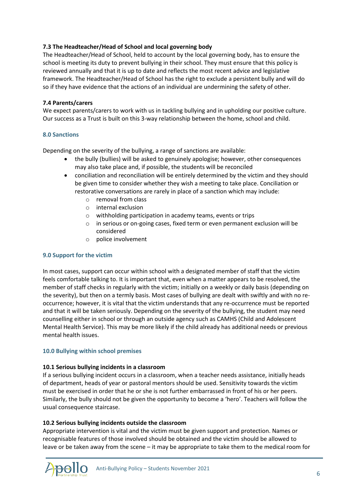# **7.3 The Headteacher/Head of School and local governing body**

The Headteacher/Head of School, held to account by the local governing body, has to ensure the school is meeting its duty to prevent bullying in their school. They must ensure that this policy is reviewed annually and that it is up to date and reflects the most recent advice and legislative framework. The Headteacher/Head of School has the right to exclude a persistent bully and will do so if they have evidence that the actions of an individual are undermining the safety of other.

# **7.4 Parents/carers**

We expect parents/carers to work with us in tackling bullying and in upholding our positive culture. Our success as a Trust is built on this 3-way relationship between the home, school and child.

# **8.0 Sanctions**

Depending on the severity of the bullying, a range of sanctions are available:

- the bully (bullies) will be asked to genuinely apologise; however, other consequences may also take place and, if possible, the students will be reconciled
- conciliation and reconciliation will be entirely determined by the victim and they should be given time to consider whether they wish a meeting to take place. Conciliation or restorative conversations are rarely in place of a sanction which may include:
	- o removal from class
	- o internal exclusion
	- o withholding participation in academy teams, events or trips
	- o in serious or on-going cases, fixed term or even permanent exclusion will be considered
	- o police involvement

# **9.0 Support for the victim**

In most cases, support can occur within school with a designated member of staff that the victim feels comfortable talking to. It is important that, even when a matter appears to be resolved, the member of staff checks in regularly with the victim; initially on a weekly or daily basis (depending on the severity), but then on a termly basis. Most cases of bullying are dealt with swiftly and with no reoccurrence; however, it is vital that the victim understands that any re-occurrence must be reported and that it will be taken seriously. Depending on the severity of the bullying, the student may need counselling either in school or through an outside agency such as CAMHS (Child and Adolescent Mental Health Service). This may be more likely if the child already has additional needs or previous mental health issues.

#### **10.0 Bullying within school premises**

#### **10.1 Serious bullying incidents in a classroom**

If a serious bullying incident occurs in a classroom, when a teacher needs assistance, initially heads of department, heads of year or pastoral mentors should be used. Sensitivity towards the victim must be exercised in order that he or she is not further embarrassed in front of his or her peers. Similarly, the bully should not be given the opportunity to become a 'hero'. Teachers will follow the usual consequence staircase.

# **10.2 Serious bullying incidents outside the classroom**

Appropriate intervention is vital and the victim must be given support and protection. Names or recognisable features of those involved should be obtained and the victim should be allowed to leave or be taken away from the scene – it may be appropriate to take them to the medical room for

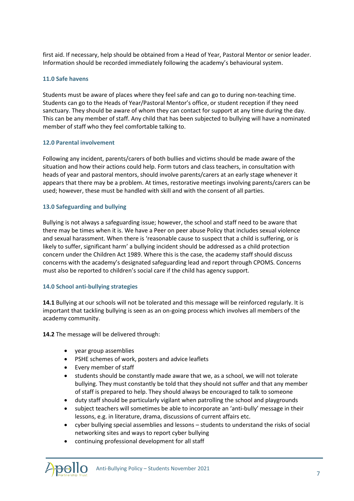first aid. If necessary, help should be obtained from a Head of Year, Pastoral Mentor or senior leader. Information should be recorded immediately following the academy's behavioural system.

## **11.0 Safe havens**

Students must be aware of places where they feel safe and can go to during non-teaching time. Students can go to the Heads of Year/Pastoral Mentor's office, or student reception if they need sanctuary. They should be aware of whom they can contact for support at any time during the day. This can be any member of staff. Any child that has been subjected to bullying will have a nominated member of staff who they feel comfortable talking to.

#### **12.0 Parental involvement**

Following any incident, parents/carers of both bullies and victims should be made aware of the situation and how their actions could help. Form tutors and class teachers, in consultation with heads of year and pastoral mentors, should involve parents/carers at an early stage whenever it appears that there may be a problem. At times, restorative meetings involving parents/carers can be used; however, these must be handled with skill and with the consent of all parties.

# **13.0 Safeguarding and bullying**

Bullying is not always a safeguarding issue; however, the school and staff need to be aware that there may be times when it is. We have a Peer on peer abuse Policy that includes sexual violence and sexual harassment. When there is 'reasonable cause to suspect that a child is suffering, or is likely to suffer, significant harm' a bullying incident should be addressed as a child protection concern under the Children Act 1989. Where this is the case, the academy staff should discuss concerns with the academy's designated safeguarding lead and report through CPOMS. Concerns must also be reported to children's social care if the child has agency support.

#### **14.0 School anti-bullying strategies**

**14.1** Bullying at our schools will not be tolerated and this message will be reinforced regularly. It is important that tackling bullying is seen as an on-going process which involves all members of the academy community.

**14.2** The message will be delivered through:

- year group assemblies
- PSHE schemes of work, posters and advice leaflets
- Every member of staff
- students should be constantly made aware that we, as a school, we will not tolerate bullying. They must constantly be told that they should not suffer and that any member of staff is prepared to help. They should always be encouraged to talk to someone
- duty staff should be particularly vigilant when patrolling the school and playgrounds
- subject teachers will sometimes be able to incorporate an 'anti-bully' message in their lessons, e.g. in literature, drama, discussions of current affairs etc.
- cyber bullying special assemblies and lessons students to understand the risks of social networking sites and ways to report cyber bullying
- continuing professional development for all staff